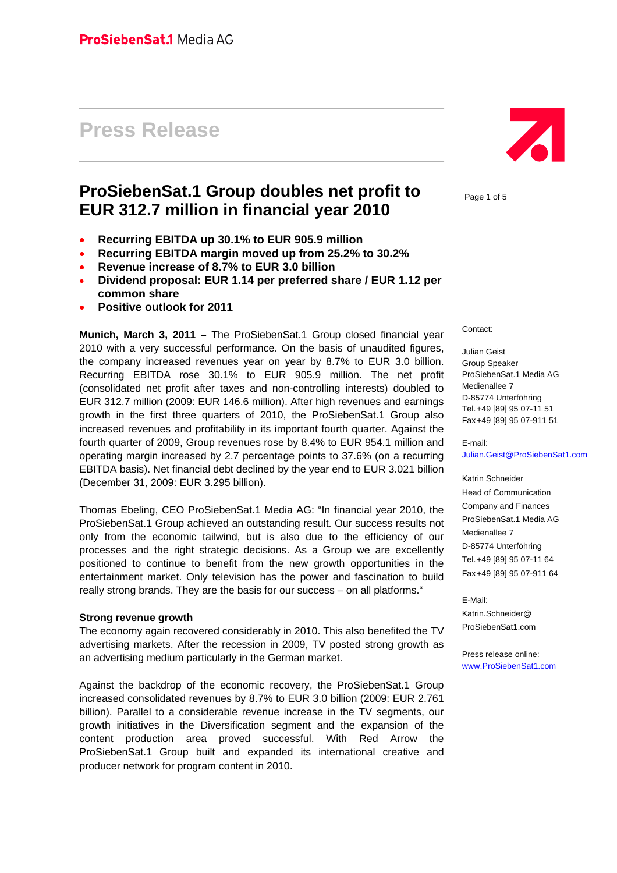# **Press Release**

# **ProSiebenSat.1 Group doubles net profit to EUR 312.7 million in financial year 2010**

- **Recurring EBITDA up 30.1% to EUR 905.9 million**
- **Recurring EBITDA margin moved up from 25.2% to 30.2%**
- **Revenue increase of 8.7% to EUR 3.0 billion**
- **Dividend proposal: EUR 1.14 per preferred share / EUR 1.12 per common share**
- **Positive outlook for 2011**

**Munich, March 3, 2011 –** The ProSiebenSat.1 Group closed financial year 2010 with a very successful performance. On the basis of unaudited figures, the company increased revenues year on year by 8.7% to EUR 3.0 billion. Recurring EBITDA rose 30.1% to EUR 905.9 million. The net profit (consolidated net profit after taxes and non-controlling interests) doubled to EUR 312.7 million (2009: EUR 146.6 million). After high revenues and earnings growth in the first three quarters of 2010, the ProSiebenSat.1 Group also increased revenues and profitability in its important fourth quarter. Against the fourth quarter of 2009, Group revenues rose by 8.4% to EUR 954.1 million and operating margin increased by 2.7 percentage points to 37.6% (on a recurring EBITDA basis). Net financial debt declined by the year end to EUR 3.021 billion (December 31, 2009: EUR 3.295 billion).

Thomas Ebeling, CEO ProSiebenSat.1 Media AG: "In financial year 2010, the ProSiebenSat.1 Group achieved an outstanding result. Our success results not only from the economic tailwind, but is also due to the efficiency of our processes and the right strategic decisions. As a Group we are excellently positioned to continue to benefit from the new growth opportunities in the entertainment market. Only television has the power and fascination to build really strong brands. They are the basis for our success – on all platforms."

#### **Strong revenue growth**

The economy again recovered considerably in 2010. This also benefited the TV advertising markets. After the recession in 2009, TV posted strong growth as an advertising medium particularly in the German market.

Against the backdrop of the economic recovery, the ProSiebenSat.1 Group increased consolidated revenues by 8.7% to EUR 3.0 billion (2009: EUR 2.761 billion). Parallel to a considerable revenue increase in the TV segments, our growth initiatives in the Diversification segment and the expansion of the content production area proved successful. With Red Arrow the ProSiebenSat.1 Group built and expanded its international creative and producer network for program content in 2010.



Page 1 of 5

Contact:

Julian Geist Group Speaker ProSiebenSat.1 Media AG Medienallee 7 D-85774 Unterföhring Tel. +49 [89] 95 07-11 51 Fax +49 [89] 95 07-911 51

#### E-mail: Julian.Geist@ProSiebenSat1.com

Katrin Schneider Head of Communication Company and Finances ProSiebenSat.1 Media AG Medienallee 7 D-85774 Unterföhring Tel. +49 [89] 95 07-11 64 Fax +49 [89] 95 07-911 64

E-Mail: Katrin.Schneider@ ProSiebenSat1.com

Press release online: www.ProSiebenSat1.com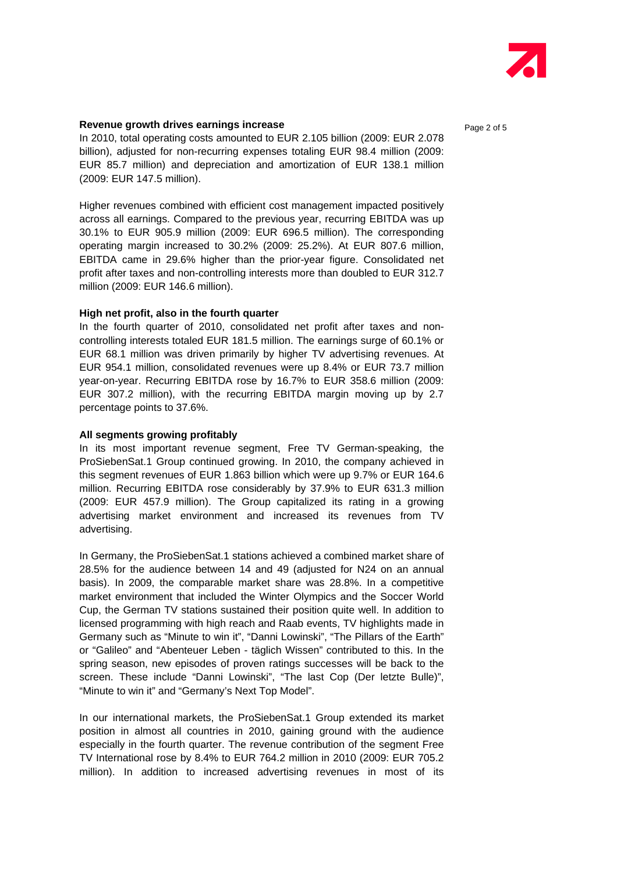

## **Revenue growth drives earnings increase Page 2 of 5** and  $P_{\text{200e}}$  2 of 5

In 2010, total operating costs amounted to EUR 2.105 billion (2009: EUR 2.078 billion), adjusted for non-recurring expenses totaling EUR 98.4 million (2009: EUR 85.7 million) and depreciation and amortization of EUR 138.1 million (2009: EUR 147.5 million).

Higher revenues combined with efficient cost management impacted positively across all earnings. Compared to the previous year, recurring EBITDA was up 30.1% to EUR 905.9 million (2009: EUR 696.5 million). The corresponding operating margin increased to 30.2% (2009: 25.2%). At EUR 807.6 million, EBITDA came in 29.6% higher than the prior-year figure. Consolidated net profit after taxes and non-controlling interests more than doubled to EUR 312.7 million (2009: EUR 146.6 million).

#### **High net profit, also in the fourth quarter**

In the fourth quarter of 2010, consolidated net profit after taxes and noncontrolling interests totaled EUR 181.5 million. The earnings surge of 60.1% or EUR 68.1 million was driven primarily by higher TV advertising revenues. At EUR 954.1 million, consolidated revenues were up 8.4% or EUR 73.7 million year-on-year. Recurring EBITDA rose by 16.7% to EUR 358.6 million (2009: EUR 307.2 million), with the recurring EBITDA margin moving up by 2.7 percentage points to 37.6%.

#### **All segments growing profitably**

In its most important revenue segment, Free TV German-speaking, the ProSiebenSat.1 Group continued growing. In 2010, the company achieved in this segment revenues of EUR 1.863 billion which were up 9.7% or EUR 164.6 million. Recurring EBITDA rose considerably by 37.9% to EUR 631.3 million (2009: EUR 457.9 million). The Group capitalized its rating in a growing advertising market environment and increased its revenues from TV advertising.

In Germany, the ProSiebenSat.1 stations achieved a combined market share of 28.5% for the audience between 14 and 49 (adjusted for N24 on an annual basis). In 2009, the comparable market share was 28.8%. In a competitive market environment that included the Winter Olympics and the Soccer World Cup, the German TV stations sustained their position quite well. In addition to licensed programming with high reach and Raab events, TV highlights made in Germany such as "Minute to win it", "Danni Lowinski", "The Pillars of the Earth" or "Galileo" and "Abenteuer Leben - täglich Wissen" contributed to this. In the spring season, new episodes of proven ratings successes will be back to the screen. These include "Danni Lowinski", "The last Cop (Der letzte Bulle)", "Minute to win it" and "Germany's Next Top Model".

In our international markets, the ProSiebenSat.1 Group extended its market position in almost all countries in 2010, gaining ground with the audience especially in the fourth quarter. The revenue contribution of the segment Free TV International rose by 8.4% to EUR 764.2 million in 2010 (2009: EUR 705.2 million). In addition to increased advertising revenues in most of its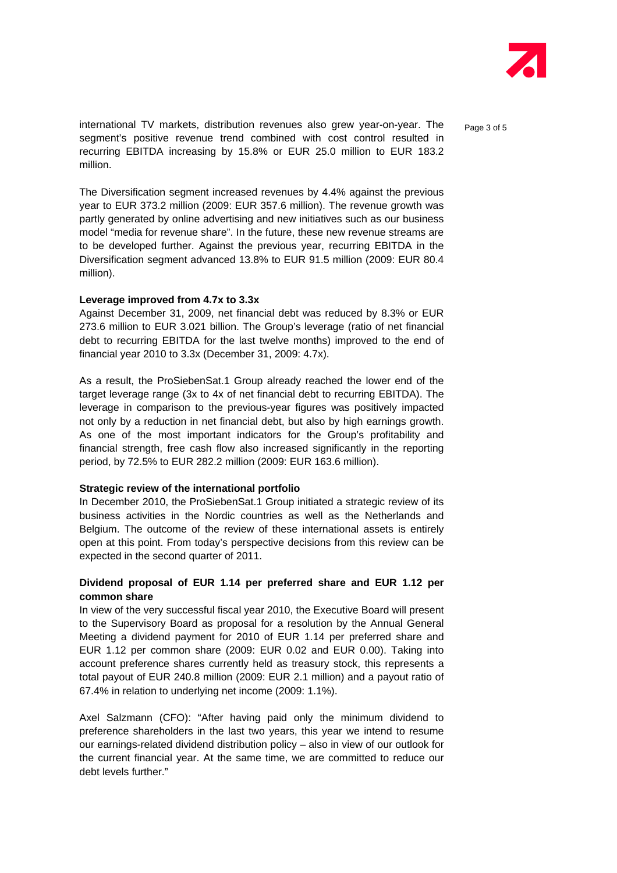

international TV markets, distribution revenues also grew year-on-year. The  $P_{\text{a}ae 3 of 5}$ segment's positive revenue trend combined with cost control resulted in recurring EBITDA increasing by 15.8% or EUR 25.0 million to EUR 183.2 million.

The Diversification segment increased revenues by 4.4% against the previous year to EUR 373.2 million (2009: EUR 357.6 million). The revenue growth was partly generated by online advertising and new initiatives such as our business model "media for revenue share". In the future, these new revenue streams are to be developed further. Against the previous year, recurring EBITDA in the Diversification segment advanced 13.8% to EUR 91.5 million (2009: EUR 80.4 million).

#### **Leverage improved from 4.7x to 3.3x**

Against December 31, 2009, net financial debt was reduced by 8.3% or EUR 273.6 million to EUR 3.021 billion. The Group's leverage (ratio of net financial debt to recurring EBITDA for the last twelve months) improved to the end of financial year 2010 to 3.3x (December 31, 2009: 4.7x).

As a result, the ProSiebenSat.1 Group already reached the lower end of the target leverage range (3x to 4x of net financial debt to recurring EBITDA). The leverage in comparison to the previous-year figures was positively impacted not only by a reduction in net financial debt, but also by high earnings growth. As one of the most important indicators for the Group's profitability and financial strength, free cash flow also increased significantly in the reporting period, by 72.5% to EUR 282.2 million (2009: EUR 163.6 million).

#### **Strategic review of the international portfolio**

In December 2010, the ProSiebenSat.1 Group initiated a strategic review of its business activities in the Nordic countries as well as the Netherlands and Belgium. The outcome of the review of these international assets is entirely open at this point. From today's perspective decisions from this review can be expected in the second quarter of 2011.

# **Dividend proposal of EUR 1.14 per preferred share and EUR 1.12 per common share**

In view of the very successful fiscal year 2010, the Executive Board will present to the Supervisory Board as proposal for a resolution by the Annual General Meeting a dividend payment for 2010 of EUR 1.14 per preferred share and EUR 1.12 per common share (2009: EUR 0.02 and EUR 0.00). Taking into account preference shares currently held as treasury stock, this represents a total payout of EUR 240.8 million (2009: EUR 2.1 million) and a payout ratio of 67.4% in relation to underlying net income (2009: 1.1%).

Axel Salzmann (CFO): "After having paid only the minimum dividend to preference shareholders in the last two years, this year we intend to resume our earnings-related dividend distribution policy – also in view of our outlook for the current financial year. At the same time, we are committed to reduce our debt levels further."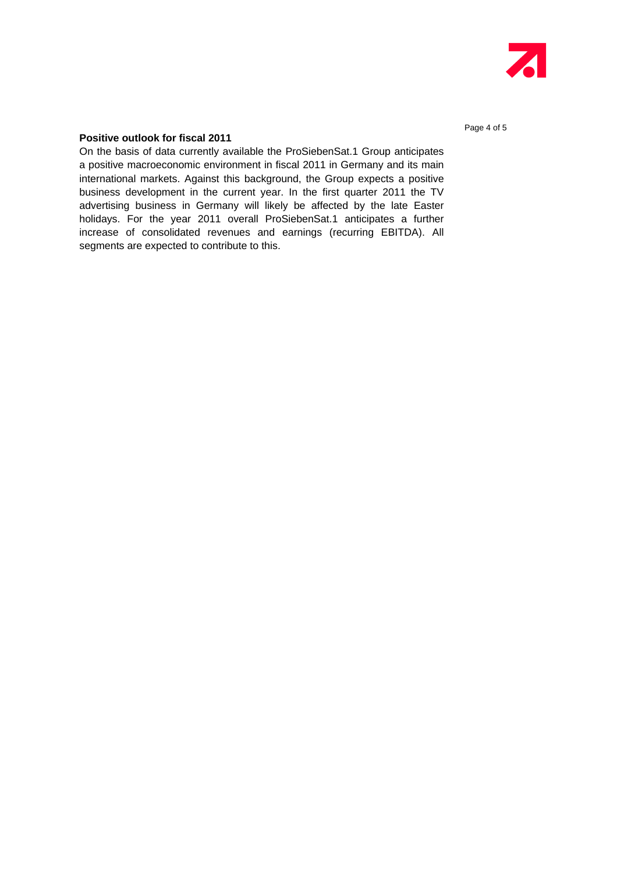

# **Positive outlook for fiscal 2011**

On the basis of data currently available the ProSiebenSat.1 Group anticipates a positive macroeconomic environment in fiscal 2011 in Germany and its main international markets. Against this background, the Group expects a positive business development in the current year. In the first quarter 2011 the TV advertising business in Germany will likely be affected by the late Easter holidays. For the year 2011 overall ProSiebenSat.1 anticipates a further increase of consolidated revenues and earnings (recurring EBITDA). All segments are expected to contribute to this.

Page 4 of 5